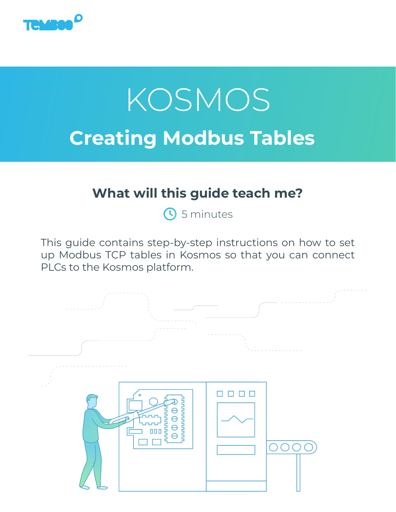

# **Creating Modbus Tables** KOSMOS

# **What will this guide teach me?**

**S** 5 minutes

This guide contains step-by-step instructions on how to set up Modbus TCP tables in Kosmos so that you can connect PLCs to the Kosmos platform.

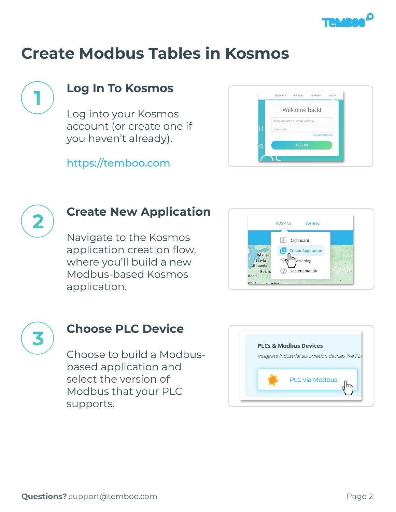



### **Log In To Kosmos**

Log into your Kosmos account (or create one if you haven't already).

<https://temboo.com>





#### **Create New Application**

Navigate to the Kosmos application creation flow, where you'll build a new Modbus-based Kosmos application.





#### **Choose PLC Device**

Choose to build a Modbusbased application and select the version of Modbus that your PLC supports.

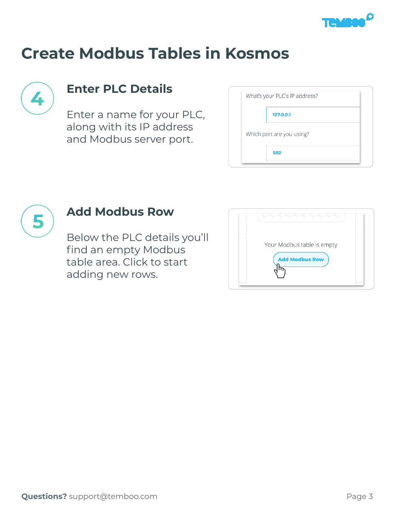



# **Enter PLC Details**

Enter a name for your PLC, along with its IP address and Modbus server port.

| Which port are you using? |  |
|---------------------------|--|



### **Add Modbus Row**

Below the PLC details you'll find an empty Modbus table area. Click to start adding new rows.

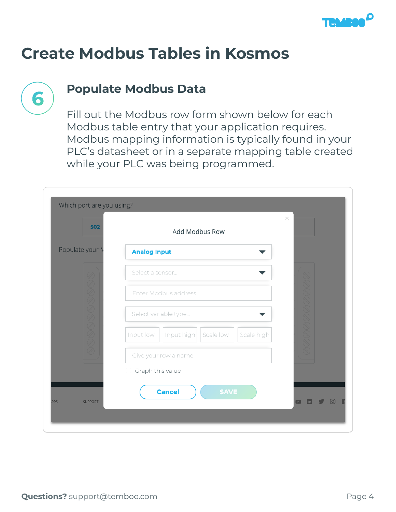



#### **Populate Modbus Data**

Fill out the Modbus row form shown below for each Modbus table entry that your application requires. Modbus mapping information is typically found in your PLC's datasheet or in a separate mapping table created while your PLC was being programmed.

| 502             | Add Modbus Row                                     |  |  |
|-----------------|----------------------------------------------------|--|--|
| Populate your N | <b>Analog Input</b>                                |  |  |
|                 | Select a sensor                                    |  |  |
|                 | Enter Modbus address                               |  |  |
|                 | Select variable type                               |  |  |
| O O O O O O O O | Input low<br>Input high<br>Scale low<br>Scale high |  |  |
|                 | Give your row a name                               |  |  |
|                 | Graph this value                                   |  |  |
|                 | <b>SAVE</b><br><b>Cancel</b>                       |  |  |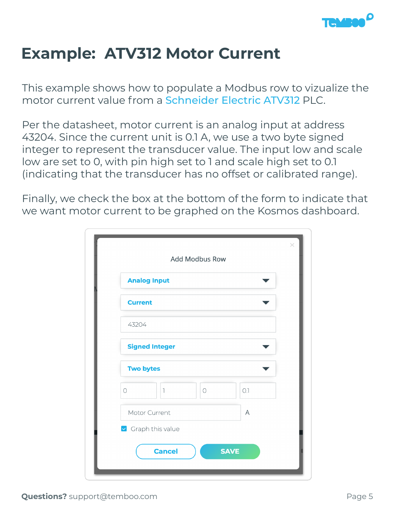

# **Example: ATV312 Motor Current**

This example shows how to populate a Modbus row to vizualize the motor current value from a [Schneider Electric ATV312](https://download.schneider-electric.com/files?p_enDocType=User+guide&p_File_Name=ATV312_communication_variables_EN_BBV51701_01.pdf&p_Doc_Ref=BBV51701) PLC.

Per the datasheet, motor current is an analog input at address 43204. Since the current unit is 0.1 A, we use a two byte signed integer to represent the transducer value. The input low and scale low are set to 0, with pin high set to 1 and scale high set to 0.1 (indicating that the transducer has no offset or calibrated range).

Finally, we check the box at the bottom of the form to indicate that we want motor current to be graphed on the Kosmos dashboard.

| <b>Add Modbus Row</b>             |     |
|-----------------------------------|-----|
| <b>Analog Input</b>               |     |
| <b>Current</b>                    |     |
| 43204                             |     |
| <b>Signed Integer</b>             |     |
| <b>Two bytes</b>                  |     |
| $\circ$<br>1<br>$\circ$           | O.1 |
| Motor Current                     | A   |
| $\triangleright$ Graph this value |     |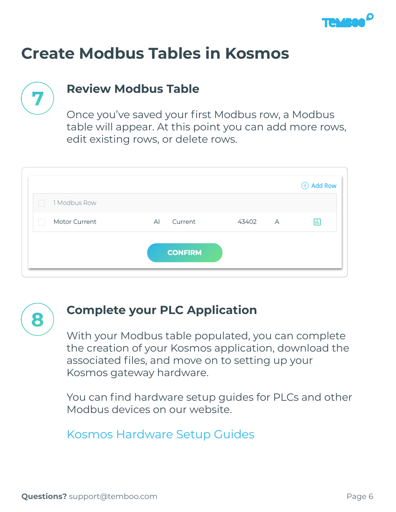

## **Review Modbus Table**

Once you've saved your first Modbus row, a Modbus table will appear. At this point you can add more rows, edit existing rows, or delete rows.

|               |                |       |   | <b>+ Add Row</b> |
|---------------|----------------|-------|---|------------------|
| 1 Modbus Row  |                |       |   |                  |
| Motor Current | Current<br>AI  | 43402 | А | ы                |
|               | <b>CONFIRM</b> |       |   |                  |



#### **Complete your PLC Application**

With your Modbus table populated, you can complete the creation of your Kosmos application, download the associated files, and move on to setting up your Kosmos gateway hardware.

You can find hardware setup guides for PLCs and other Modbus devices on our website.

[Kosmos Hardware Setup Guides](https://temboo.com/kosmos/docs)